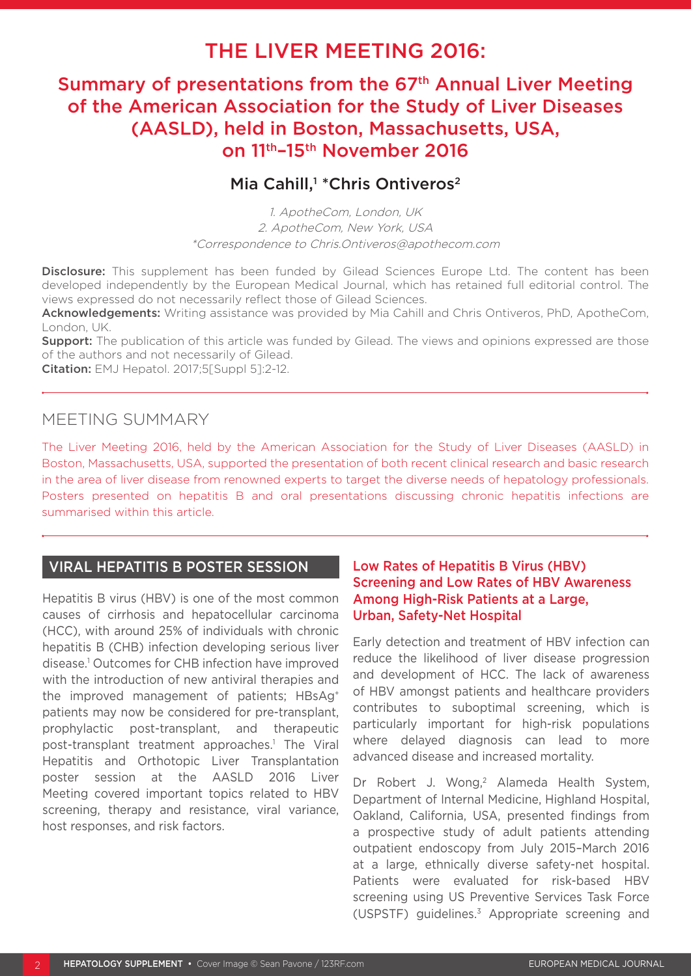# THE LIVER MEETING 2016:

## Summary of presentations from the 67<sup>th</sup> Annual Liver Meeting of the American Association for the Study of Liver Diseases (AASLD), held in Boston, Massachusetts, USA, on 11th–15th November 2016

## Mia Cahill,<sup>1</sup> \* Chris Ontiveros<sup>2</sup>

1. ApotheCom, London, UK 2. ApotheCom, New York, USA \*Correspondence to Chris.Ontiveros@apothecom.com

Disclosure: This supplement has been funded by Gilead Sciences Europe Ltd. The content has been developed independently by the European Medical Journal, which has retained full editorial control. The views expressed do not necessarily reflect those of Gilead Sciences.

Acknowledgements: Writing assistance was provided by Mia Cahill and Chris Ontiveros, PhD, ApotheCom, London, UK.

**Support:** The publication of this article was funded by Gilead. The views and opinions expressed are those of the authors and not necessarily of Gilead.

Citation: EMJ Hepatol. 2017;5[Suppl 5]:2-12.

## MEETING SUMMARY

The Liver Meeting 2016, held by the American Association for the Study of Liver Diseases (AASLD) in Boston, Massachusetts, USA, supported the presentation of both recent clinical research and basic research in the area of liver disease from renowned experts to target the diverse needs of hepatology professionals. Posters presented on hepatitis B and oral presentations discussing chronic hepatitis infections are summarised within this article.

#### VIRAL HEPATITIS B POSTER SESSION

Hepatitis B virus (HBV) is one of the most common causes of cirrhosis and hepatocellular carcinoma (HCC), with around 25% of individuals with chronic hepatitis B (CHB) infection developing serious liver disease.1 Outcomes for CHB infection have improved with the introduction of new antiviral therapies and the improved management of patients; HBsAg+ patients may now be considered for pre-transplant, prophylactic post-transplant, and therapeutic post-transplant treatment approaches.1 The Viral Hepatitis and Orthotopic Liver Transplantation poster session at the AASLD 2016 Liver Meeting covered important topics related to HBV screening, therapy and resistance, viral variance, host responses, and risk factors.

#### Low Rates of Hepatitis B Virus (HBV) Screening and Low Rates of HBV Awareness Among High-Risk Patients at a Large, Urban, Safety-Net Hospital

Early detection and treatment of HBV infection can reduce the likelihood of liver disease progression and development of HCC. The lack of awareness of HBV amongst patients and healthcare providers contributes to suboptimal screening, which is particularly important for high-risk populations where delayed diagnosis can lead to more advanced disease and increased mortality.

Dr Robert J. Wong,<sup>2</sup> Alameda Health System, Department of Internal Medicine, Highland Hospital, Oakland, California, USA, presented findings from a prospective study of adult patients attending outpatient endoscopy from July 2015–March 2016 at a large, ethnically diverse safety-net hospital. Patients were evaluated for risk-based HBV screening using US Preventive Services Task Force (USPSTF) guidelines.3 Appropriate screening and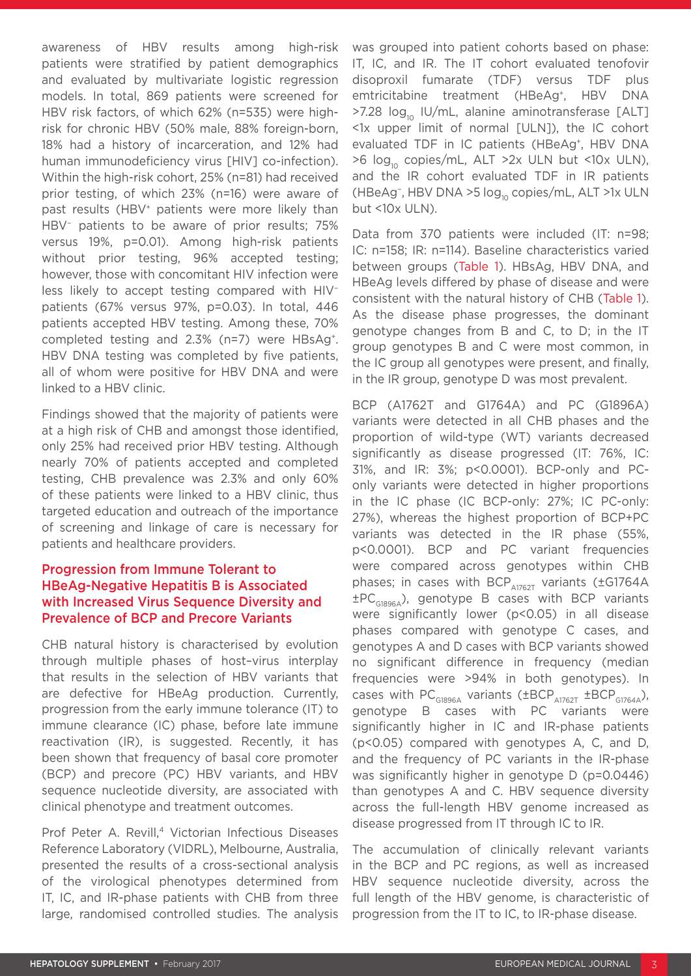awareness of HBV results among high-risk patients were stratified by patient demographics and evaluated by multivariate logistic regression models. In total, 869 patients were screened for HBV risk factors, of which 62% (n=535) were highrisk for chronic HBV (50% male, 88% foreign-born, 18% had a history of incarceration, and 12% had human immunodeficiency virus [HIV] co-infection). Within the high-risk cohort, 25% (n=81) had received prior testing, of which 23% (n=16) were aware of past results (HBV<sup>+</sup> patients were more likely than HBV<sup>-</sup> patients to be aware of prior results; 75% versus 19%, p=0.01). Among high-risk patients without prior testing, 96% accepted testing; however, those with concomitant HIV infection were less likely to accept testing compared with HIV− patients (67% versus 97%, p=0.03). In total, 446 patients accepted HBV testing. Among these, 70% completed testing and 2.3% (n=7) were HBsAg+. HBV DNA testing was completed by five patients, all of whom were positive for HBV DNA and were linked to a HBV clinic.

Findings showed that the majority of patients were at a high risk of CHB and amongst those identified, only 25% had received prior HBV testing. Although nearly 70% of patients accepted and completed testing, CHB prevalence was 2.3% and only 60% of these patients were linked to a HBV clinic, thus targeted education and outreach of the importance of screening and linkage of care is necessary for patients and healthcare providers.

#### Progression from Immune Tolerant to HBeAg-Negative Hepatitis B is Associated with Increased Virus Sequence Diversity and Prevalence of BCP and Precore Variants

CHB natural history is characterised by evolution through multiple phases of host–virus interplay that results in the selection of HBV variants that are defective for HBeAg production. Currently, progression from the early immune tolerance (IT) to immune clearance (IC) phase, before late immune reactivation (IR), is suggested. Recently, it has been shown that frequency of basal core promoter (BCP) and precore (PC) HBV variants, and HBV sequence nucleotide diversity, are associated with clinical phenotype and treatment outcomes.

Prof Peter A. Revill,<sup>4</sup> Victorian Infectious Diseases Reference Laboratory (VIDRL), Melbourne, Australia, presented the results of a cross-sectional analysis of the virological phenotypes determined from IT, IC, and IR-phase patients with CHB from three large, randomised controlled studies. The analysis

was grouped into patient cohorts based on phase: IT, IC, and IR. The IT cohort evaluated tenofovir disoproxil fumarate (TDF) versus TDF plus emtricitabine treatment (HBeAg<sup>+</sup>, HBV DNA >7.28  $log_{10}$  IU/mL, alanine aminotransferase [ALT] <1x upper limit of normal [ULN]), the IC cohort evaluated TDF in IC patients (HBeAg<sup>+</sup>, HBV DNA  $>6$  log<sub>10</sub> copies/mL, ALT  $>2x$  ULN but <10x ULN), and the IR cohort evaluated TDF in IR patients (HBeAg<sup>-</sup>, HBV DNA >5 log<sub>10</sub> copies/mL, ALT >1x ULN but <10x ULN).

Data from 370 patients were included (IT: n=98; IC: n=158; IR: n=114). Baseline characteristics varied between groups (Table 1). HBsAg, HBV DNA, and HBeAg levels differed by phase of disease and were consistent with the natural history of CHB (Table 1). As the disease phase progresses, the dominant genotype changes from B and C, to D; in the IT group genotypes B and C were most common, in the IC group all genotypes were present, and finally, in the IR group, genotype D was most prevalent.

BCP (A1762T and G1764A) and PC (G1896A) variants were detected in all CHB phases and the proportion of wild-type (WT) variants decreased significantly as disease progressed (IT: 76%, IC: 31%, and IR: 3%; p<0.0001). BCP-only and PConly variants were detected in higher proportions in the IC phase (IC BCP-only: 27%; IC PC-only: 27%), whereas the highest proportion of BCP+PC variants was detected in the IR phase (55%, p<0.0001). BCP and PC variant frequencies were compared across genotypes within CHB phases; in cases with BCP $_{A1762T}$  variants (±G1764A  $\pm PC_{G1896A}$ ), genotype B cases with BCP variants were significantly lower (p<0.05) in all disease phases compared with genotype C cases, and genotypes A and D cases with BCP variants showed no significant difference in frequency (median frequencies were >94% in both genotypes). In cases with PC $_{G1896A}$  variants ( $\pm$ BCP $_{A1762T}$   $\pm$ BCP $_{G1764A}$ ), genotype B cases with PC variants were significantly higher in IC and IR-phase patients (p<0.05) compared with genotypes A, C, and D, and the frequency of PC variants in the IR-phase was significantly higher in genotype D (p=0.0446) than genotypes A and C. HBV sequence diversity across the full-length HBV genome increased as disease progressed from IT through IC to IR.

The accumulation of clinically relevant variants in the BCP and PC regions, as well as increased HBV sequence nucleotide diversity, across the full length of the HBV genome, is characteristic of progression from the IT to IC, to IR-phase disease.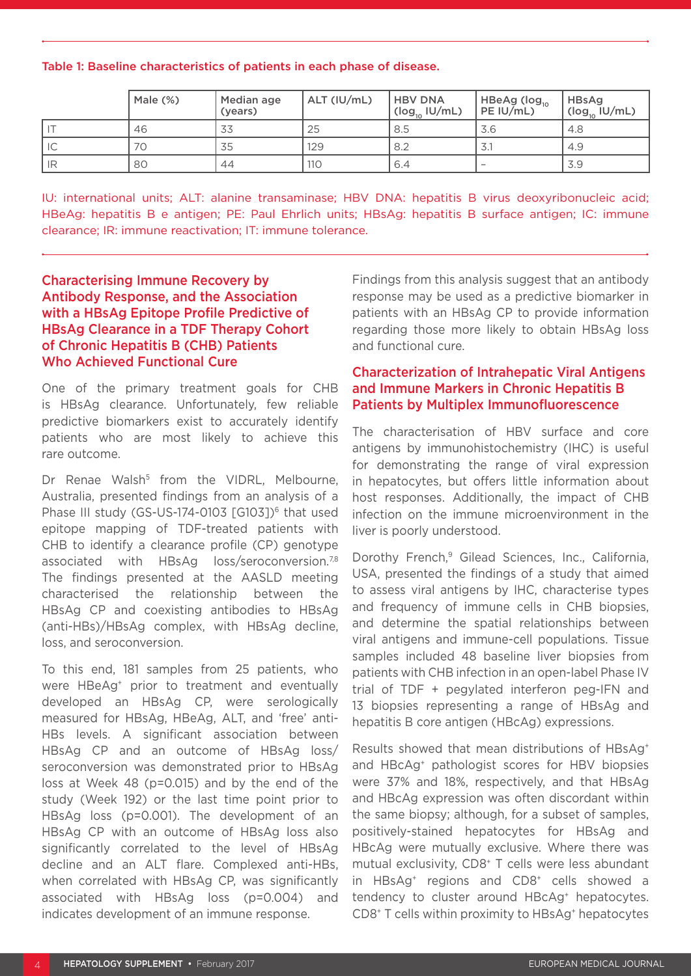Table 1: Baseline characteristics of patients in each phase of disease.

|      | Male $(\%)$ | Median age<br>(years) | ALT (IU/mL) | <b>HBV DNA</b><br>$(log_{10}$ IU/mL) | HBeAg (log <sub>10</sub><br>PE IU/mL) | <b>HBsAg</b><br>$(log_{10}$ IU/mL) |
|------|-------------|-----------------------|-------------|--------------------------------------|---------------------------------------|------------------------------------|
|      | 46          | 33                    | 25          | 8.5                                  | 3.6                                   | 4.8                                |
| l ic | 70          | 35                    | 129         | 8.2                                  | 3.                                    | 4.9                                |
| l IR | 80          | 44                    | 110         | 6.4                                  |                                       | 3.9                                |

IU: international units; ALT: alanine transaminase; HBV DNA: hepatitis B virus deoxyribonucleic acid; HBeAg: hepatitis B e antigen; PE: Paul Ehrlich units; HBsAg: hepatitis B surface antigen; IC: immune clearance; IR: immune reactivation; IT: immune tolerance.

Characterising Immune Recovery by Antibody Response, and the Association with a HBsAg Epitope Profile Predictive of HBsAg Clearance in a TDF Therapy Cohort of Chronic Hepatitis B (CHB) Patients Who Achieved Functional Cure

One of the primary treatment goals for CHB is HBsAg clearance. Unfortunately, few reliable predictive biomarkers exist to accurately identify patients who are most likely to achieve this rare outcome.

Dr Renae Walsh<sup>5</sup> from the VIDRL, Melbourne, Australia, presented findings from an analysis of a Phase III study (GS-US-174-0103 [G103])<sup>6</sup> that used epitope mapping of TDF-treated patients with CHB to identify a clearance profile (CP) genotype associated with HBsAg loss/seroconversion.<sup>7,8</sup> The findings presented at the AASLD meeting characterised the relationship between the HBsAg CP and coexisting antibodies to HBsAg (anti-HBs)/HBsAg complex, with HBsAg decline, loss, and seroconversion.

To this end, 181 samples from 25 patients, who were HBeAg+ prior to treatment and eventually developed an HBsAg CP, were serologically measured for HBsAg, HBeAg, ALT, and 'free' anti-HBs levels. A significant association between HBsAg CP and an outcome of HBsAg loss/ seroconversion was demonstrated prior to HBsAg loss at Week 48 (p=0.015) and by the end of the study (Week 192) or the last time point prior to HBsAg loss (p=0.001). The development of an HBsAg CP with an outcome of HBsAg loss also significantly correlated to the level of HBsAg decline and an ALT flare. Complexed anti-HBs, when correlated with HBsAg CP, was significantly associated with HBsAg loss (p=0.004) and indicates development of an immune response.

Findings from this analysis suggest that an antibody response may be used as a predictive biomarker in patients with an HBsAg CP to provide information regarding those more likely to obtain HBsAg loss and functional cure.

#### Characterization of Intrahepatic Viral Antigens and Immune Markers in Chronic Hepatitis B Patients by Multiplex Immunofluorescence

The characterisation of HBV surface and core antigens by immunohistochemistry (IHC) is useful for demonstrating the range of viral expression in hepatocytes, but offers little information about host responses. Additionally, the impact of CHB infection on the immune microenvironment in the liver is poorly understood.

Dorothy French,<sup>9</sup> Gilead Sciences, Inc., California, USA, presented the findings of a study that aimed to assess viral antigens by IHC, characterise types and frequency of immune cells in CHB biopsies, and determine the spatial relationships between viral antigens and immune-cell populations. Tissue samples included 48 baseline liver biopsies from patients with CHB infection in an open-label Phase IV trial of TDF + pegylated interferon peg-IFN and 13 biopsies representing a range of HBsAg and hepatitis B core antigen (HBcAg) expressions.

Results showed that mean distributions of HBsAg+ and HBcAg+ pathologist scores for HBV biopsies were 37% and 18%, respectively, and that HBsAg and HBcAg expression was often discordant within the same biopsy; although, for a subset of samples, positively-stained hepatocytes for HBsAg and HBcAg were mutually exclusive. Where there was mutual exclusivity, CD8+ T cells were less abundant in HBsAg+ regions and CD8+ cells showed a tendency to cluster around HBcAg<sup>+</sup> hepatocytes. CD8+ T cells within proximity to HBsAg+ hepatocytes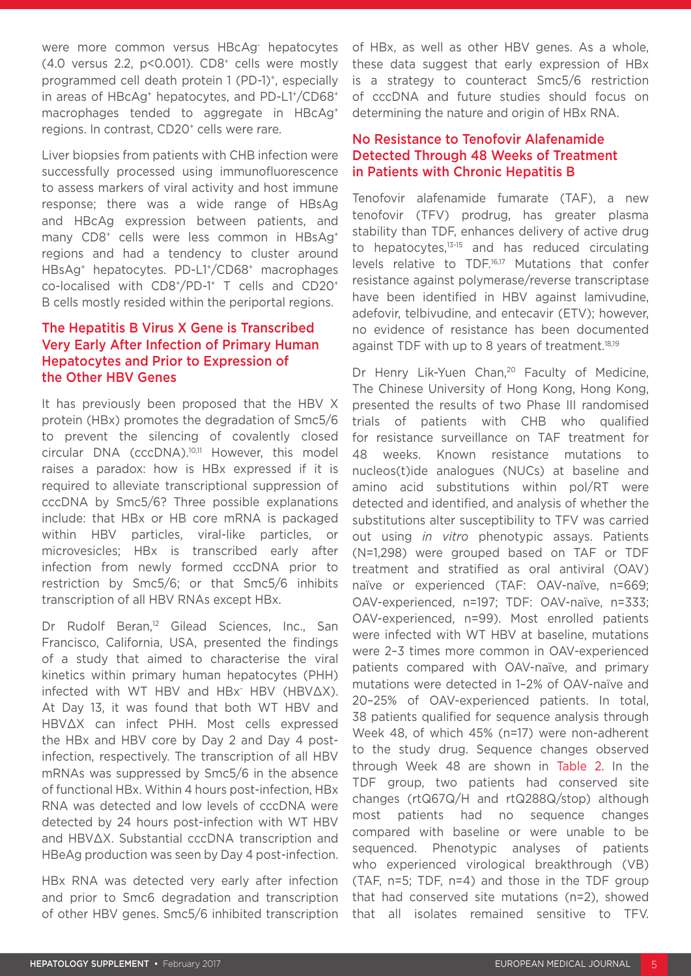were more common versus HBcAg- hepatocytes (4.0 versus 2.2,  $p$ <0.001). CD8<sup>+</sup> cells were mostly programmed cell death protein 1 (PD-1)<sup>+</sup>, especially in areas of HBcAg<sup>+</sup> hepatocytes, and PD-L1<sup>+</sup>/CD68<sup>+</sup> macrophages tended to aggregate in HBcAg+ regions. In contrast, CD20<sup>+</sup> cells were rare.

Liver biopsies from patients with CHB infection were successfully processed using immunofluorescence to assess markers of viral activity and host immune response; there was a wide range of HBsAg and HBcAg expression between patients, and many CD8<sup>+</sup> cells were less common in HBsAg<sup>+</sup> regions and had a tendency to cluster around HBsAg+ hepatocytes. PD-L1+/CD68+ macrophages co-localised with CD8+/PD-1+ T cells and CD20+ B cells mostly resided within the periportal regions.

#### The Hepatitis B Virus X Gene is Transcribed Very Early After Infection of Primary Human Hepatocytes and Prior to Expression of the Other HBV Genes

It has previously been proposed that the HBV X protein (HBx) promotes the degradation of Smc5/6 to prevent the silencing of covalently closed circular DNA (cccDNA).10,11 However, this model raises a paradox: how is HBx expressed if it is required to alleviate transcriptional suppression of cccDNA by Smc5/6? Three possible explanations include: that HBx or HB core mRNA is packaged within HBV particles, viral-like particles, or microvesicles; HBx is transcribed early after infection from newly formed cccDNA prior to restriction by Smc5/6; or that Smc5/6 inhibits transcription of all HBV RNAs except HBx.

Dr Rudolf Beran,<sup>12</sup> Gilead Sciences, Inc., San Francisco, California, USA, presented the findings of a study that aimed to characterise the viral kinetics within primary human hepatocytes (PHH) infected with WT HBV and HBx- HBV (HBV∆X). At Day 13, it was found that both WT HBV and HBV∆X can infect PHH. Most cells expressed the HBx and HBV core by Day 2 and Day 4 postinfection, respectively. The transcription of all HBV mRNAs was suppressed by Smc5/6 in the absence of functional HBx. Within 4 hours post-infection, HBx RNA was detected and low levels of cccDNA were detected by 24 hours post-infection with WT HBV and HBV∆X. Substantial cccDNA transcription and HBeAg production was seen by Day 4 post-infection.

HBx RNA was detected very early after infection and prior to Smc6 degradation and transcription of other HBV genes. Smc5/6 inhibited transcription of HBx, as well as other HBV genes. As a whole, these data suggest that early expression of HBx is a strategy to counteract Smc5/6 restriction of cccDNA and future studies should focus on determining the nature and origin of HBx RNA.

#### No Resistance to Tenofovir Alafenamide Detected Through 48 Weeks of Treatment in Patients with Chronic Hepatitis B

Tenofovir alafenamide fumarate (TAF), a new tenofovir (TFV) prodrug, has greater plasma stability than TDF, enhances delivery of active drug to hepatocytes, $13-15$  and has reduced circulating levels relative to TDF.<sup>16,17</sup> Mutations that confer resistance against polymerase/reverse transcriptase have been identified in HBV against lamivudine, adefovir, telbivudine, and entecavir (ETV); however, no evidence of resistance has been documented against TDF with up to 8 years of treatment. $18,19$ 

Dr Henry Lik-Yuen Chan,<sup>20</sup> Faculty of Medicine, The Chinese University of Hong Kong, Hong Kong, presented the results of two Phase III randomised trials of patients with CHB who qualified for resistance surveillance on TAF treatment for 48 weeks. Known resistance mutations to nucleos(t)ide analogues (NUCs) at baseline and amino acid substitutions within pol/RT were detected and identified, and analysis of whether the substitutions alter susceptibility to TFV was carried out using *in vitro* phenotypic assays. Patients (N=1,298) were grouped based on TAF or TDF treatment and stratified as oral antiviral (OAV) naïve or experienced (TAF: OAV-naïve, n=669; OAV-experienced, n=197; TDF: OAV-naïve, n=333; OAV-experienced, n=99). Most enrolled patients were infected with WT HBV at baseline, mutations were 2–3 times more common in OAV-experienced patients compared with OAV-naïve, and primary mutations were detected in 1–2% of OAV-naïve and 20–25% of OAV-experienced patients. In total, 38 patients qualified for sequence analysis through Week 48, of which 45% (n=17) were non-adherent to the study drug. Sequence changes observed through Week 48 are shown in Table 2. In the TDF group, two patients had conserved site changes (rtQ67Q/H and rtQ288Q/stop) although most patients had no sequence changes compared with baseline or were unable to be sequenced. Phenotypic analyses of patients who experienced virological breakthrough (VB) (TAF, n=5; TDF, n=4) and those in the TDF group that had conserved site mutations (n=2), showed that all isolates remained sensitive to TFV.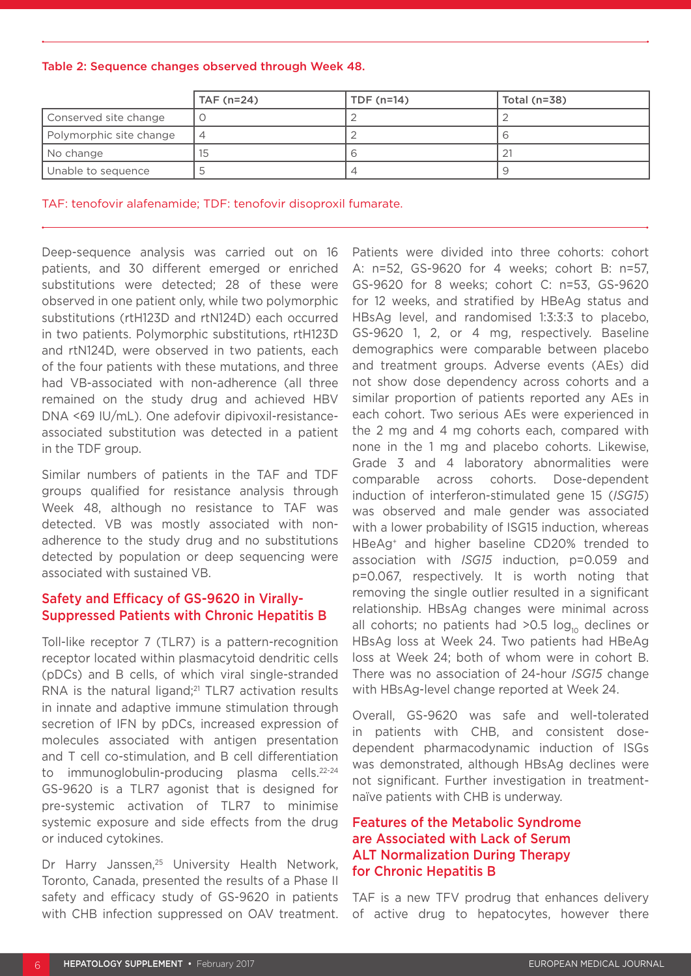Table 2: Sequence changes observed through Week 48.

|                         | TAF (n=24)               | TDF $(n=14)$ | Total $(n=38)$ |
|-------------------------|--------------------------|--------------|----------------|
| Conserved site change   |                          |              |                |
| Polymorphic site change | $\overline{\mathcal{A}}$ |              |                |
| No change               | 15                       |              |                |
| Unable to sequence      |                          |              |                |

TAF: tenofovir alafenamide; TDF: tenofovir disoproxil fumarate.

Deep-sequence analysis was carried out on 16 patients, and 30 different emerged or enriched substitutions were detected; 28 of these were observed in one patient only, while two polymorphic substitutions (rtH123D and rtN124D) each occurred in two patients. Polymorphic substitutions, rtH123D and rtN124D, were observed in two patients, each of the four patients with these mutations, and three had VB-associated with non-adherence (all three remained on the study drug and achieved HBV DNA <69 IU/mL). One adefovir dipivoxil-resistanceassociated substitution was detected in a patient in the TDF group.

Similar numbers of patients in the TAF and TDF groups qualified for resistance analysis through Week 48, although no resistance to TAF was detected. VB was mostly associated with nonadherence to the study drug and no substitutions detected by population or deep sequencing were associated with sustained VB.

#### Safety and Efficacy of GS-9620 in Virally-Suppressed Patients with Chronic Hepatitis B

Toll-like receptor 7 (TLR7) is a pattern-recognition receptor located within plasmacytoid dendritic cells (pDCs) and B cells, of which viral single-stranded RNA is the natural ligand;<sup>21</sup> TLR7 activation results in innate and adaptive immune stimulation through secretion of IFN by pDCs, increased expression of molecules associated with antigen presentation and T cell co-stimulation, and B cell differentiation to immunoglobulin-producing plasma cells.22-24 GS-9620 is a TLR7 agonist that is designed for pre-systemic activation of TLR7 to minimise systemic exposure and side effects from the drug or induced cytokines.

Dr Harry Janssen,<sup>25</sup> University Health Network, Toronto, Canada, presented the results of a Phase II safety and efficacy study of GS-9620 in patients with CHB infection suppressed on OAV treatment.

Patients were divided into three cohorts: cohort A: n=52, GS-9620 for 4 weeks; cohort B: n=57, GS-9620 for 8 weeks; cohort C: n=53, GS-9620 for 12 weeks, and stratified by HBeAg status and HBsAg level, and randomised 1:3:3:3 to placebo, GS-9620 1, 2, or 4 mg, respectively. Baseline demographics were comparable between placebo and treatment groups. Adverse events (AEs) did not show dose dependency across cohorts and a similar proportion of patients reported any AEs in each cohort. Two serious AEs were experienced in the 2 mg and 4 mg cohorts each, compared with none in the 1 mg and placebo cohorts. Likewise, Grade 3 and 4 laboratory abnormalities were comparable across cohorts. Dose-dependent induction of interferon-stimulated gene 15 (*ISG15*) was observed and male gender was associated with a lower probability of ISG15 induction, whereas HBeAg+ and higher baseline CD20% trended to association with *ISG15* induction, p=0.059 and p=0.067, respectively. It is worth noting that removing the single outlier resulted in a significant relationship. HBsAg changes were minimal across all cohorts; no patients had  $>0.5$  log<sub>10</sub> declines or HBsAg loss at Week 24. Two patients had HBeAg loss at Week 24; both of whom were in cohort B. There was no association of 24-hour *ISG15* change with HBsAg-level change reported at Week 24.

Overall, GS-9620 was safe and well-tolerated in patients with CHB, and consistent dosedependent pharmacodynamic induction of ISGs was demonstrated, although HBsAg declines were not significant. Further investigation in treatmentnaïve patients with CHB is underway.

#### Features of the Metabolic Syndrome are Associated with Lack of Serum ALT Normalization During Therapy for Chronic Hepatitis B

TAF is a new TFV prodrug that enhances delivery of active drug to hepatocytes, however there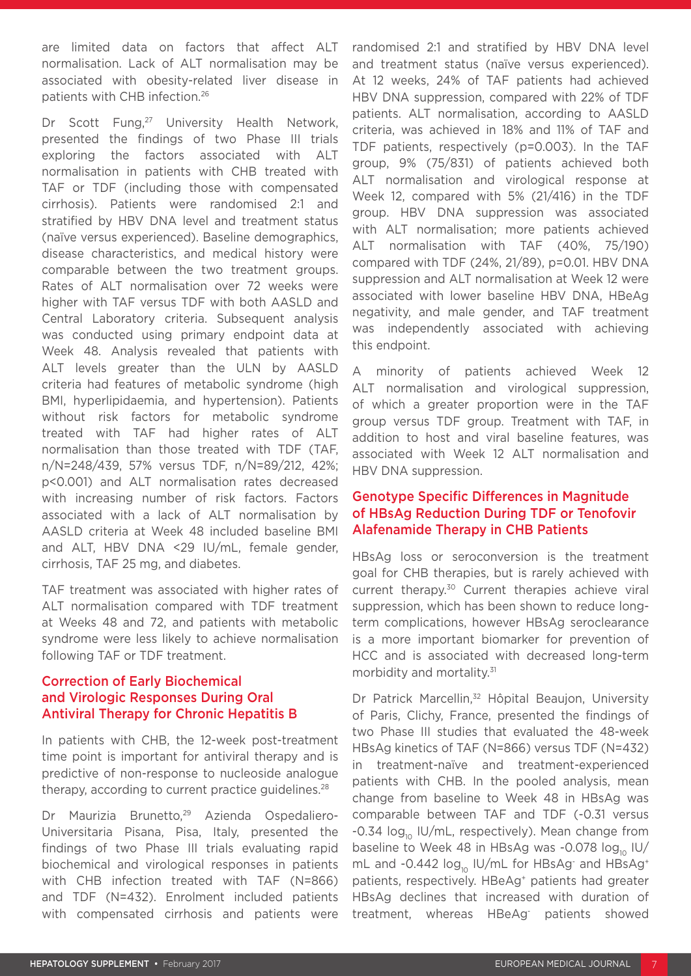are limited data on factors that affect ALT normalisation. Lack of ALT normalisation may be associated with obesity-related liver disease in patients with CHB infection.26

Dr Scott Fung,<sup>27</sup> University Health Network, presented the findings of two Phase III trials exploring the factors associated with ALT normalisation in patients with CHB treated with TAF or TDF (including those with compensated cirrhosis). Patients were randomised 2:1 and stratified by HBV DNA level and treatment status (naïve versus experienced). Baseline demographics, disease characteristics, and medical history were comparable between the two treatment groups. Rates of ALT normalisation over 72 weeks were higher with TAF versus TDF with both AASLD and Central Laboratory criteria. Subsequent analysis was conducted using primary endpoint data at Week 48. Analysis revealed that patients with ALT levels greater than the ULN by AASLD criteria had features of metabolic syndrome (high BMI, hyperlipidaemia, and hypertension). Patients without risk factors for metabolic syndrome treated with TAF had higher rates of ALT normalisation than those treated with TDF (TAF, n/N=248/439, 57% versus TDF, n/N=89/212, 42%; p<0.001) and ALT normalisation rates decreased with increasing number of risk factors. Factors associated with a lack of ALT normalisation by AASLD criteria at Week 48 included baseline BMI and ALT, HBV DNA <29 IU/mL, female gender, cirrhosis, TAF 25 mg, and diabetes.

TAF treatment was associated with higher rates of ALT normalisation compared with TDF treatment at Weeks 48 and 72, and patients with metabolic syndrome were less likely to achieve normalisation following TAF or TDF treatment.

#### Correction of Early Biochemical and Virologic Responses During Oral Antiviral Therapy for Chronic Hepatitis B

In patients with CHB, the 12-week post-treatment time point is important for antiviral therapy and is predictive of non-response to nucleoside analogue therapy, according to current practice guidelines.<sup>28</sup>

Dr Maurizia Brunetto,<sup>29</sup> Azienda Ospedaliero-Universitaria Pisana, Pisa, Italy, presented the findings of two Phase III trials evaluating rapid biochemical and virological responses in patients with CHB infection treated with TAF (N=866) and TDF (N=432). Enrolment included patients with compensated cirrhosis and patients were

randomised 2:1 and stratified by HBV DNA level and treatment status (naïve versus experienced). At 12 weeks, 24% of TAF patients had achieved HBV DNA suppression, compared with 22% of TDF patients. ALT normalisation, according to AASLD criteria, was achieved in 18% and 11% of TAF and TDF patients, respectively (p=0.003). In the TAF group, 9% (75/831) of patients achieved both ALT normalisation and virological response at Week 12, compared with 5% (21/416) in the TDF group. HBV DNA suppression was associated with ALT normalisation; more patients achieved ALT normalisation with TAF (40%, 75/190) compared with TDF (24%, 21/89), p=0.01. HBV DNA suppression and ALT normalisation at Week 12 were associated with lower baseline HBV DNA, HBeAg negativity, and male gender, and TAF treatment was independently associated with achieving this endpoint.

A minority of patients achieved Week 12 ALT normalisation and virological suppression, of which a greater proportion were in the TAF group versus TDF group. Treatment with TAF, in addition to host and viral baseline features, was associated with Week 12 ALT normalisation and HBV DNA suppression.

#### Genotype Specific Differences in Magnitude of HBsAg Reduction During TDF or Tenofovir Alafenamide Therapy in CHB Patients

HBsAg loss or seroconversion is the treatment goal for CHB therapies, but is rarely achieved with current therapy.30 Current therapies achieve viral suppression, which has been shown to reduce longterm complications, however HBsAg seroclearance is a more important biomarker for prevention of HCC and is associated with decreased long-term morbidity and mortality.31

Dr Patrick Marcellin,<sup>32</sup> Hôpital Beaujon, University of Paris, Clichy, France, presented the findings of two Phase III studies that evaluated the 48-week HBsAg kinetics of TAF (N=866) versus TDF (N=432) in treatment-naïve and treatment-experienced patients with CHB. In the pooled analysis, mean change from baseline to Week 48 in HBsAg was comparable between TAF and TDF (-0.31 versus  $-0.34$  log<sub>10</sub> IU/mL, respectively). Mean change from baseline to Week 48 in HBsAg was -0.078  $log_{10}$  IU/ mL and -0.442 log<sub>10</sub> IU/mL for HBsAg<sup>-</sup> and HBsAg<sup>+</sup> patients, respectively. HBeAg<sup>+</sup> patients had greater HBsAg declines that increased with duration of treatment, whereas HBeAg- patients showed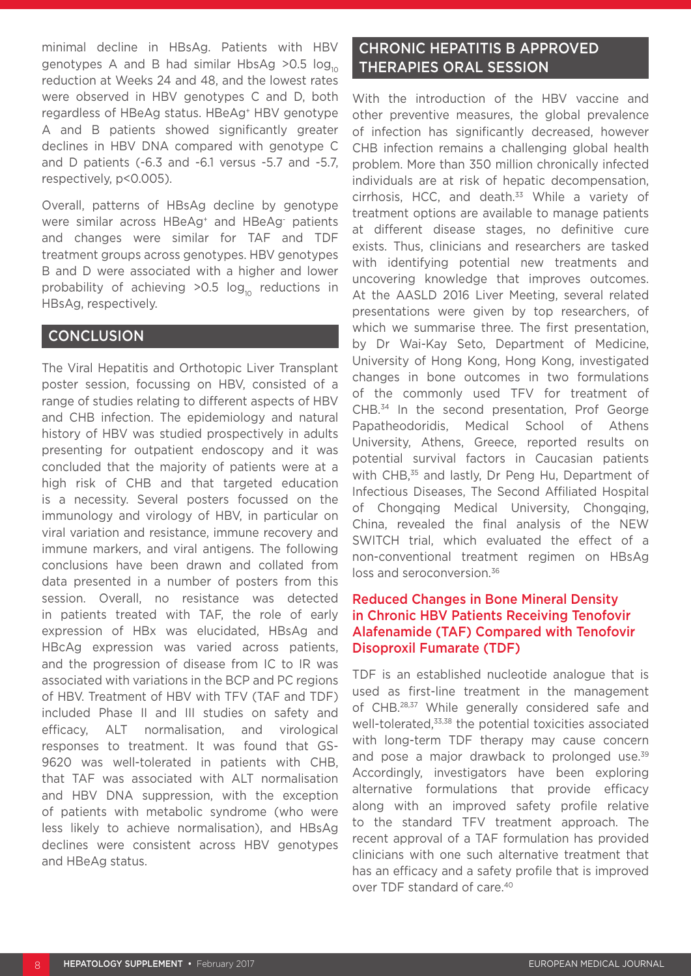minimal decline in HBsAg. Patients with HBV genotypes A and B had similar HbsAg > 0.5  $log_{10}$ reduction at Weeks 24 and 48, and the lowest rates were observed in HBV genotypes C and D, both regardless of HBeAg status. HBeAg+ HBV genotype A and B patients showed significantly greater declines in HBV DNA compared with genotype C and D patients (-6.3 and -6.1 versus -5.7 and -5.7, respectively, p<0.005).

Overall, patterns of HBsAg decline by genotype were similar across HBeAg+ and HBeAg- patients and changes were similar for TAF and TDF treatment groups across genotypes. HBV genotypes B and D were associated with a higher and lower probability of achieving  $>0.5$  log<sub>10</sub> reductions in HBsAg, respectively.

#### **CONCLUSION**

The Viral Hepatitis and Orthotopic Liver Transplant poster session, focussing on HBV, consisted of a range of studies relating to different aspects of HBV and CHB infection. The epidemiology and natural history of HBV was studied prospectively in adults presenting for outpatient endoscopy and it was concluded that the majority of patients were at a high risk of CHB and that targeted education is a necessity. Several posters focussed on the immunology and virology of HBV, in particular on viral variation and resistance, immune recovery and immune markers, and viral antigens. The following conclusions have been drawn and collated from data presented in a number of posters from this session. Overall, no resistance was detected in patients treated with TAF, the role of early expression of HBx was elucidated, HBsAg and HBcAg expression was varied across patients, and the progression of disease from IC to IR was associated with variations in the BCP and PC regions of HBV. Treatment of HBV with TFV (TAF and TDF) included Phase II and III studies on safety and efficacy, ALT normalisation, and virological responses to treatment. It was found that GS-9620 was well-tolerated in patients with CHB, that TAF was associated with ALT normalisation and HBV DNA suppression, with the exception of patients with metabolic syndrome (who were less likely to achieve normalisation), and HBsAg declines were consistent across HBV genotypes and HBeAg status.

### CHRONIC HEPATITIS B APPROVED THERAPIES ORAL SESSION

With the introduction of the HBV vaccine and other preventive measures, the global prevalence of infection has significantly decreased, however CHB infection remains a challenging global health problem. More than 350 million chronically infected individuals are at risk of hepatic decompensation, cirrhosis, HCC, and death.<sup>33</sup> While a variety of treatment options are available to manage patients at different disease stages, no definitive cure exists. Thus, clinicians and researchers are tasked with identifying potential new treatments and uncovering knowledge that improves outcomes. At the AASLD 2016 Liver Meeting, several related presentations were given by top researchers, of which we summarise three. The first presentation, by Dr Wai-Kay Seto, Department of Medicine, University of Hong Kong, Hong Kong, investigated changes in bone outcomes in two formulations of the commonly used TFV for treatment of CHB.34 In the second presentation, Prof George Papatheodoridis, Medical School of Athens University, Athens, Greece, reported results on potential survival factors in Caucasian patients with CHB,<sup>35</sup> and lastly, Dr Peng Hu, Department of Infectious Diseases, The Second Affiliated Hospital of Chongqing Medical University, Chongqing, China, revealed the final analysis of the NEW SWITCH trial, which evaluated the effect of a non-conventional treatment regimen on HBsAg loss and seroconversion.<sup>36</sup>

#### Reduced Changes in Bone Mineral Density in Chronic HBV Patients Receiving Tenofovir Alafenamide (TAF) Compared with Tenofovir Disoproxil Fumarate (TDF)

TDF is an established nucleotide analogue that is used as first-line treatment in the management of CHB.28,37 While generally considered safe and well-tolerated,<sup>33,38</sup> the potential toxicities associated with long-term TDF therapy may cause concern and pose a major drawback to prolonged use.<sup>39</sup> Accordingly, investigators have been exploring alternative formulations that provide efficacy along with an improved safety profile relative to the standard TFV treatment approach. The recent approval of a TAF formulation has provided clinicians with one such alternative treatment that has an efficacy and a safety profile that is improved over TDF standard of care.40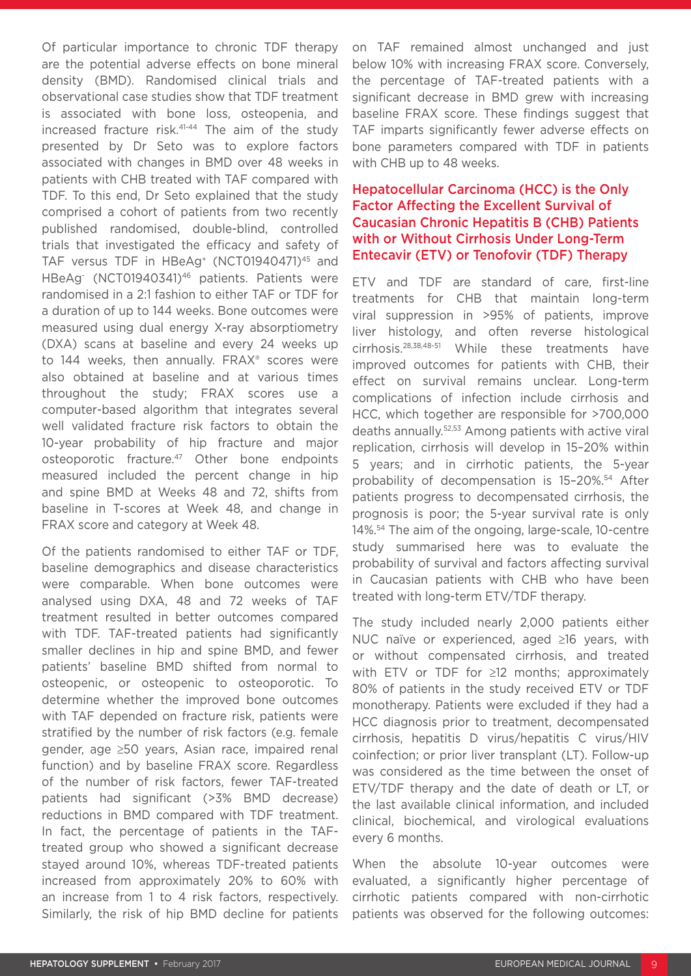Of particular importance to chronic TDF therapy are the potential adverse effects on bone mineral density (BMD). Randomised clinical trials and observational case studies show that TDF treatment is associated with bone loss, osteopenia, and increased fracture risk.41-44 The aim of the study presented by Dr Seto was to explore factors associated with changes in BMD over 48 weeks in patients with CHB treated with TAF compared with TDF. To this end, Dr Seto explained that the study comprised a cohort of patients from two recently published randomised, double-blind, controlled trials that investigated the efficacy and safety of TAF versus TDF in HBeAg<sup>+</sup> (NCT01940471)<sup>45</sup> and HBeAg- (NCT01940341)46 patients. Patients were randomised in a 2:1 fashion to either TAF or TDF for a duration of up to 144 weeks. Bone outcomes were measured using dual energy X-ray absorptiometry (DXA) scans at baseline and every 24 weeks up to 144 weeks, then annually. FRAX® scores were also obtained at baseline and at various times throughout the study; FRAX scores use a computer-based algorithm that integrates several well validated fracture risk factors to obtain the 10-year probability of hip fracture and major osteoporotic fracture.47 Other bone endpoints measured included the percent change in hip and spine BMD at Weeks 48 and 72, shifts from baseline in T-scores at Week 48, and change in FRAX score and category at Week 48.

Of the patients randomised to either TAF or TDF, baseline demographics and disease characteristics were comparable. When bone outcomes were analysed using DXA, 48 and 72 weeks of TAF treatment resulted in better outcomes compared with TDF. TAF-treated patients had significantly smaller declines in hip and spine BMD, and fewer patients' baseline BMD shifted from normal to osteopenic, or osteopenic to osteoporotic. To determine whether the improved bone outcomes with TAF depended on fracture risk, patients were stratified by the number of risk factors (e.g. female gender, age ≥50 years, Asian race, impaired renal function) and by baseline FRAX score. Regardless of the number of risk factors, fewer TAF-treated patients had significant (>3% BMD decrease) reductions in BMD compared with TDF treatment. In fact, the percentage of patients in the TAFtreated group who showed a significant decrease stayed around 10%, whereas TDF-treated patients increased from approximately 20% to 60% with an increase from 1 to 4 risk factors, respectively. Similarly, the risk of hip BMD decline for patients on TAF remained almost unchanged and just below 10% with increasing FRAX score. Conversely, the percentage of TAF-treated patients with a significant decrease in BMD grew with increasing baseline FRAX score. These findings suggest that TAF imparts significantly fewer adverse effects on bone parameters compared with TDF in patients with CHB up to 48 weeks.

#### Hepatocellular Carcinoma (HCC) is the Only Factor Affecting the Excellent Survival of Caucasian Chronic Hepatitis B (CHB) Patients with or Without Cirrhosis Under Long-Term Entecavir (ETV) or Tenofovir (TDF) Therapy

ETV and TDF are standard of care, first-line treatments for CHB that maintain long-term viral suppression in >95% of patients, improve liver histology, and often reverse histological cirrhosis.28,38,48-51 While these treatments have improved outcomes for patients with CHB, their effect on survival remains unclear. Long-term complications of infection include cirrhosis and HCC, which together are responsible for >700,000 deaths annually.52,53 Among patients with active viral replication, cirrhosis will develop in 15–20% within 5 years; and in cirrhotic patients, the 5-year probability of decompensation is 15–20%.54 After patients progress to decompensated cirrhosis, the prognosis is poor; the 5-year survival rate is only 14%.54 The aim of the ongoing, large-scale, 10-centre study summarised here was to evaluate the probability of survival and factors affecting survival in Caucasian patients with CHB who have been treated with long-term ETV/TDF therapy.

The study included nearly 2,000 patients either NUC naïve or experienced, aged ≥16 years, with or without compensated cirrhosis, and treated with ETV or TDF for ≥12 months; approximately 80% of patients in the study received ETV or TDF monotherapy. Patients were excluded if they had a HCC diagnosis prior to treatment, decompensated cirrhosis, hepatitis D virus/hepatitis C virus/HIV coinfection; or prior liver transplant (LT). Follow-up was considered as the time between the onset of ETV/TDF therapy and the date of death or LT, or the last available clinical information, and included clinical, biochemical, and virological evaluations every 6 months.

When the absolute 10-year outcomes were evaluated, a significantly higher percentage of cirrhotic patients compared with non-cirrhotic patients was observed for the following outcomes: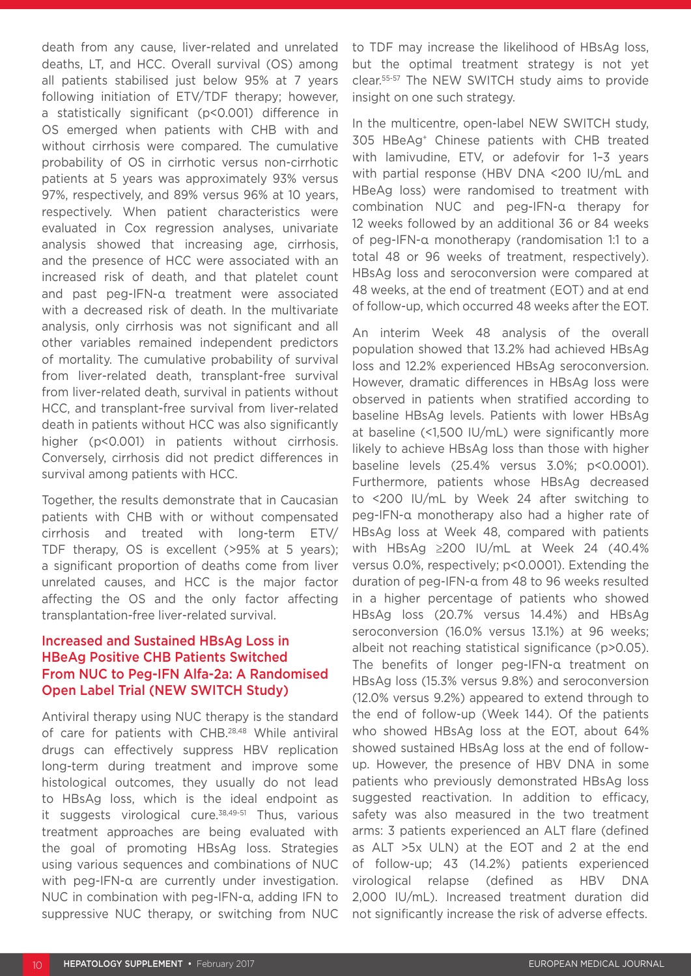death from any cause, liver-related and unrelated deaths, LT, and HCC. Overall survival (OS) among all patients stabilised just below 95% at 7 years following initiation of ETV/TDF therapy; however, a statistically significant (p<0.001) difference in OS emerged when patients with CHB with and without cirrhosis were compared. The cumulative probability of OS in cirrhotic versus non-cirrhotic patients at 5 years was approximately 93% versus 97%, respectively, and 89% versus 96% at 10 years, respectively. When patient characteristics were evaluated in Cox regression analyses, univariate analysis showed that increasing age, cirrhosis, and the presence of HCC were associated with an increased risk of death, and that platelet count and past peg-IFN-α treatment were associated with a decreased risk of death. In the multivariate analysis, only cirrhosis was not significant and all other variables remained independent predictors of mortality. The cumulative probability of survival from liver-related death, transplant-free survival from liver-related death, survival in patients without HCC, and transplant-free survival from liver-related death in patients without HCC was also significantly higher (p<0.001) in patients without cirrhosis. Conversely, cirrhosis did not predict differences in survival among patients with HCC.

Together, the results demonstrate that in Caucasian patients with CHB with or without compensated cirrhosis and treated with long-term ETV/ TDF therapy, OS is excellent (>95% at 5 years); a significant proportion of deaths come from liver unrelated causes, and HCC is the major factor affecting the OS and the only factor affecting transplantation-free liver-related survival.

#### Increased and Sustained HBsAg Loss in HBeAg Positive CHB Patients Switched From NUC to Peg-IFN Alfa-2a: A Randomised Open Label Trial (NEW SWITCH Study)

Antiviral therapy using NUC therapy is the standard of care for patients with CHB.28,48 While antiviral drugs can effectively suppress HBV replication long-term during treatment and improve some histological outcomes, they usually do not lead to HBsAg loss, which is the ideal endpoint as it suggests virological cure.<sup>38,49-51</sup> Thus, various treatment approaches are being evaluated with the goal of promoting HBsAg loss. Strategies using various sequences and combinations of NUC with peg-IFN-α are currently under investigation. NUC in combination with peg-IFN-α, adding IFN to suppressive NUC therapy, or switching from NUC to TDF may increase the likelihood of HBsAg loss, but the optimal treatment strategy is not yet clear.55-57 The NEW SWITCH study aims to provide insight on one such strategy.

In the multicentre, open-label NEW SWITCH study, 305 HBeAg+ Chinese patients with CHB treated with lamivudine, ETV, or adefovir for 1–3 years with partial response (HBV DNA <200 IU/mL and HBeAg loss) were randomised to treatment with combination NUC and peg-IFN-α therapy for 12 weeks followed by an additional 36 or 84 weeks of peg-IFN-α monotherapy (randomisation 1:1 to a total 48 or 96 weeks of treatment, respectively). HBsAg loss and seroconversion were compared at 48 weeks, at the end of treatment (EOT) and at end of follow-up, which occurred 48 weeks after the EOT.

An interim Week 48 analysis of the overall population showed that 13.2% had achieved HBsAg loss and 12.2% experienced HBsAg seroconversion. However, dramatic differences in HBsAg loss were observed in patients when stratified according to baseline HBsAg levels. Patients with lower HBsAg at baseline (<1,500 IU/mL) were significantly more likely to achieve HBsAg loss than those with higher baseline levels (25.4% versus 3.0%; p<0.0001). Furthermore, patients whose HBsAg decreased to <200 IU/mL by Week 24 after switching to peg-IFN-α monotherapy also had a higher rate of HBsAg loss at Week 48, compared with patients with HBsAg ≥200 IU/mL at Week 24 (40.4% versus 0.0%, respectively; p<0.0001). Extending the duration of peg-IFN-α from 48 to 96 weeks resulted in a higher percentage of patients who showed HBsAg loss (20.7% versus 14.4%) and HBsAg seroconversion (16.0% versus 13.1%) at 96 weeks; albeit not reaching statistical significance (p>0.05). The benefits of longer peg-IFN-α treatment on HBsAg loss (15.3% versus 9.8%) and seroconversion (12.0% versus 9.2%) appeared to extend through to the end of follow-up (Week 144). Of the patients who showed HBsAg loss at the EOT, about 64% showed sustained HBsAg loss at the end of followup. However, the presence of HBV DNA in some patients who previously demonstrated HBsAg loss suggested reactivation. In addition to efficacy, safety was also measured in the two treatment arms: 3 patients experienced an ALT flare (defined as ALT >5x ULN) at the EOT and 2 at the end of follow-up; 43 (14.2%) patients experienced virological relapse (defined as HBV DNA 2,000 IU/mL). Increased treatment duration did not significantly increase the risk of adverse effects.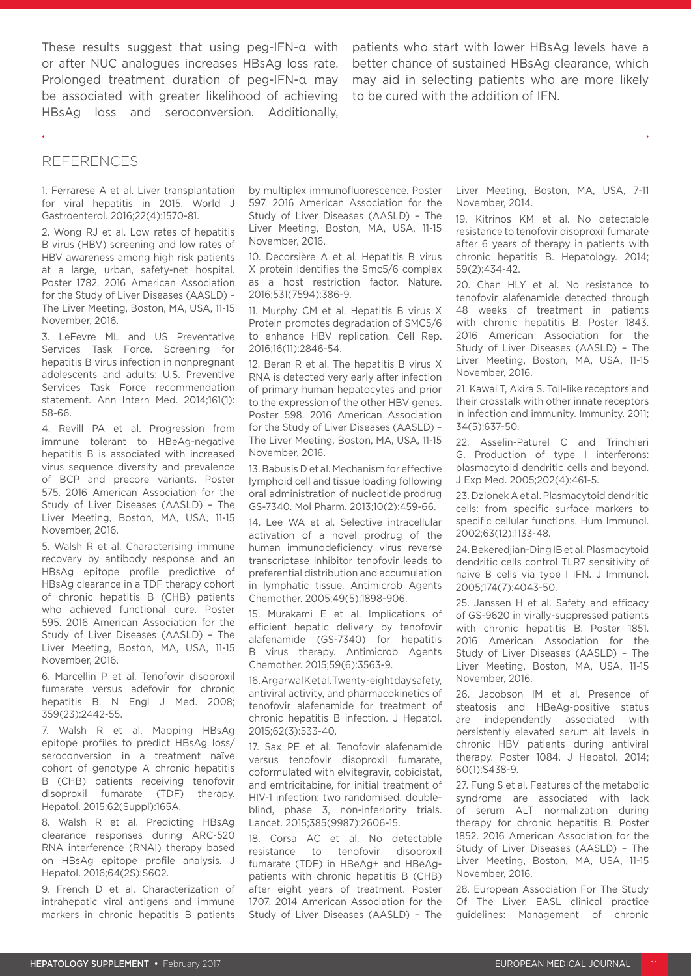These results suggest that using peg-IFN-α with or after NUC analogues increases HBsAg loss rate. Prolonged treatment duration of peg-IFN-α may be associated with greater likelihood of achieving HBsAg loss and seroconversion. Additionally,

patients who start with lower HBsAg levels have a better chance of sustained HBsAg clearance, which may aid in selecting patients who are more likely to be cured with the addition of IFN.

#### REFERENCES

1. Ferrarese A et al. Liver transplantation for viral hepatitis in 2015. World J Gastroenterol. 2016;22(4):1570-81.

2. Wong RJ et al. Low rates of hepatitis B virus (HBV) screening and low rates of HBV awareness among high risk patients at a large, urban, safety-net hospital. Poster 1782. 2016 American Association for the Study of Liver Diseases (AASLD) – The Liver Meeting, Boston, MA, USA, 11-15 November, 2016.

3. LeFevre ML and US Preventative Services Task Force. Screening for hepatitis B virus infection in nonpregnant adolescents and adults: U.S. Preventive Services Task Force recommendation statement. Ann Intern Med. 2014;161(1): 58-66.

4. Revill PA et al. Progression from immune tolerant to HBeAg-negative hepatitis B is associated with increased virus sequence diversity and prevalence of BCP and precore variants. Poster 575. 2016 American Association for the Study of Liver Diseases (AASLD) – The Liver Meeting, Boston, MA, USA, 11-15 November, 2016.

5. Walsh R et al. Characterising immune recovery by antibody response and an HBsAg epitope profile predictive of HBsAg clearance in a TDF therapy cohort of chronic hepatitis B (CHB) patients who achieved functional cure. Poster 595. 2016 American Association for the Study of Liver Diseases (AASLD) – The Liver Meeting, Boston, MA, USA, 11-15 November, 2016.

6. Marcellin P et al. Tenofovir disoproxil fumarate versus adefovir for chronic hepatitis B. N Engl J Med. 2008; 359(23):2442-55.

7. Walsh R et al. Mapping HBsAg epitope profiles to predict HBsAg loss/ seroconversion in a treatment naïve cohort of genotype A chronic hepatitis B (CHB) patients receiving tenofovir disoproxil fumarate (TDF) therapy. Hepatol. 2015;62(Suppl):165A.

8. Walsh R et al. Predicting HBsAg clearance responses during ARC-520 RNA interference (RNAI) therapy based on HBsAg epitope profile analysis. J Hepatol. 2016;64(2S):S602.

9. French D et al. Characterization of intrahepatic viral antigens and immune markers in chronic hepatitis B patients

by multiplex immunofluorescence. Poster 597. 2016 American Association for the Study of Liver Diseases (AASLD) – The Liver Meeting, Boston, MA, USA, 11-15 November, 2016.

10. Decorsière A et al. Hepatitis B virus X protein identifies the Smc5/6 complex as a host restriction factor. Nature. 2016;531(7594):386-9.

11. Murphy CM et al. Hepatitis B virus X Protein promotes degradation of SMC5/6 to enhance HBV replication. Cell Rep. 2016;16(11):2846-54.

12. Beran R et al. The hepatitis B virus X RNA is detected very early after infection of primary human hepatocytes and prior to the expression of the other HBV genes. Poster 598. 2016 American Association for the Study of Liver Diseases (AASLD) – The Liver Meeting, Boston, MA, USA, 11-15 November, 2016.

13. Babusis D et al. Mechanism for effective lymphoid cell and tissue loading following oral administration of nucleotide prodrug GS-7340. Mol Pharm. 2013;10(2):459-66.

14. Lee WA et al. Selective intracellular activation of a novel prodrug of the human immunodeficiency virus reverse transcriptase inhibitor tenofovir leads to preferential distribution and accumulation in lymphatic tissue. Antimicrob Agents Chemother. 2005;49(5):1898-906.

15. Murakami E et al. Implications of efficient hepatic delivery by tenofovir alafenamide (GS-7340) for hepatitis B virus therapy. Antimicrob Agents Chemother. 2015;59(6):3563-9.

16. Argarwal Ket al. Twenty-eight day safety, antiviral activity, and pharmacokinetics of tenofovir alafenamide for treatment of chronic hepatitis B infection. J Hepatol. 2015;62(3):533-40.

17. Sax PE et al. Tenofovir alafenamide versus tenofovir disoproxil fumarate, coformulated with elvitegravir, cobicistat, and emtricitabine, for initial treatment of HIV-1 infection: two randomised, doubleblind, phase 3, non-inferiority trials. Lancet. 2015;385(9987):2606-15.

18. Corsa AC et al. No detectable resistance to tenofovir disoproxil fumarate (TDF) in HBeAg+ and HBeAgpatients with chronic hepatitis B (CHB) after eight years of treatment. Poster 1707. 2014 American Association for the Study of Liver Diseases (AASLD) – The

Liver Meeting, Boston, MA, USA, 7-11 November, 2014.

19. Kitrinos KM et al. No detectable resistance to tenofovir disoproxil fumarate after 6 years of therapy in patients with chronic hepatitis B. Hepatology. 2014; 59(2):434-42.

20. Chan HLY et al. No resistance to tenofovir alafenamide detected through 48 weeks of treatment in patients with chronic hepatitis B. Poster 1843. 2016 American Association for the Study of Liver Diseases (AASLD) – The Liver Meeting, Boston, MA, USA, 11-15 November, 2016.

21. Kawai T, Akira S. Toll-like receptors and their crosstalk with other innate receptors in infection and immunity. Immunity. 2011; 34(5):637-50.

22. Asselin-Paturel C and Trinchieri G. Production of type I interferons: plasmacytoid dendritic cells and beyond. J Exp Med. 2005;202(4):461-5.

23. Dzionek A et al. Plasmacytoid dendritic cells: from specific surface markers to specific cellular functions. Hum Immunol. 2002;63(12):1133-48.

24. Bekeredjian-Ding IB et al. Plasmacytoid dendritic cells control TLR7 sensitivity of naive B cells via type I IFN. J Immunol. 2005;174(7):4043-50.

25. Janssen H et al. Safety and efficacy of GS-9620 in virally-suppressed patients with chronic hepatitis B. Poster 1851. 2016 American Association for the Study of Liver Diseases (AASLD) – The Liver Meeting, Boston, MA, USA, 11-15 November, 2016.

26. Jacobson IM et al. Presence of steatosis and HBeAg-positive status are independently associated with persistently elevated serum alt levels in chronic HBV patients during antiviral therapy. Poster 1084. J Hepatol. 2014; 60(1):S438-9.

27. Fung S et al. Features of the metabolic syndrome are associated with lack of serum ALT normalization during therapy for chronic hepatitis B. Poster 1852. 2016 American Association for the Study of Liver Diseases (AASLD) – The Liver Meeting, Boston, MA, USA, 11-15 November, 2016.

28. European Association For The Study Of The Liver. EASL clinical practice guidelines: Management of chronic